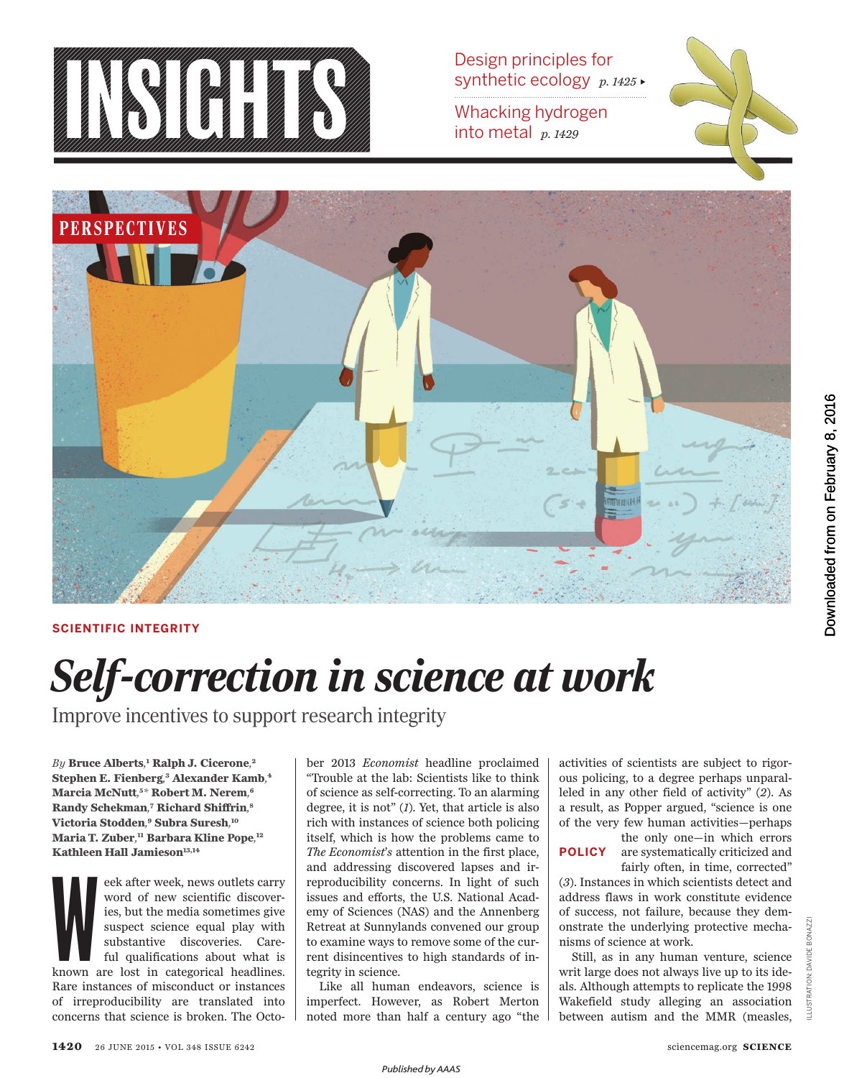

Design principles for synthetic ecology *p. 1425* ▶

Whacking hydrogen into metal *p. 1429*





### **SCIENTIFIC INTEGRITY**

# *Self-correction in science at work*

Improve incentives to support research integrity

*By* **Bruce Alberts***,* **<sup>1</sup> Ralph J. Cicerone***,* **2 Stephen E. Fienberg***,* **<sup>3</sup> Alexander Kamb***,* **4 Marcia McNutt***,* **<sup>5</sup>***\** **Robert M. Nerem***,* **6**  $\mathbf{R}$ andy Schekman,<sup>7</sup> Richard Shiffrin,<sup>8</sup> **Victoria Stodden***,* **<sup>9</sup> Subra Suresh***,* **10 Maria T. Zuber** *,* **<sup>11</sup> Barbara Kline Pope***,* **12 Kathleen Hall Jamieson13, 14**

eek after week, news outlets carry<br>
word of new scientific discover-<br>
ies, but the media sometimes give<br>
suspect science equal play with<br>
substantive discoveries. Care-<br>
ful qualifications about what is<br>
known are lost in word of new scientific discoveries, but the media sometimes give suspect science equal play with substantive discoveries. Careful qualifications about what is Rare instances of misconduct or instances of irreproducibility are translated into concerns that science is broken. The Octo-

ber 2013 *Economist* headline proclaimed "Trouble at the lab: Scientists like to think of science as self-correcting. To an alarming degree, it is not" (1). Yet, that article is also rich with instances of science both policing itself, which is how the problems came to *The Economist*'*s* attention in the first place, and addressing discovered lapses and irreproducibility concerns. In light of such issues and efforts, the U.S. National Academy of Sciences (NAS) and the Annenberg Retreat at Sunnylands convened our group to examine ways to remove some of the current disincentives to high standards of integrity in science.

Like all human endeavors, science is imperfect. However, as Robert Merton noted more than half a century ago "the activities of scientists are subject to rigorous policing, to a degree perhaps unparalleled in any other field of activity" (*2*). As a result, as Popper argued, "science is one of the very few human activities—perhaps

the only one—in which errors **POLICY** are systematically criticized and fairly often, in time, corrected"

(*3*). Instances in which scientists detect and address flaws in work constitute evidence of success, not failure, because they demonstrate the underlying protective mechanisms of science at work.

Still, as in any human venture, science writ large does not always live up to its ideals. Although attempts to replicate the 1998 Wakefield study alleging an association between autism and the MMR (measles,

ILLUSTRATION: DAVIDE BONAZZI

ILLUSTR)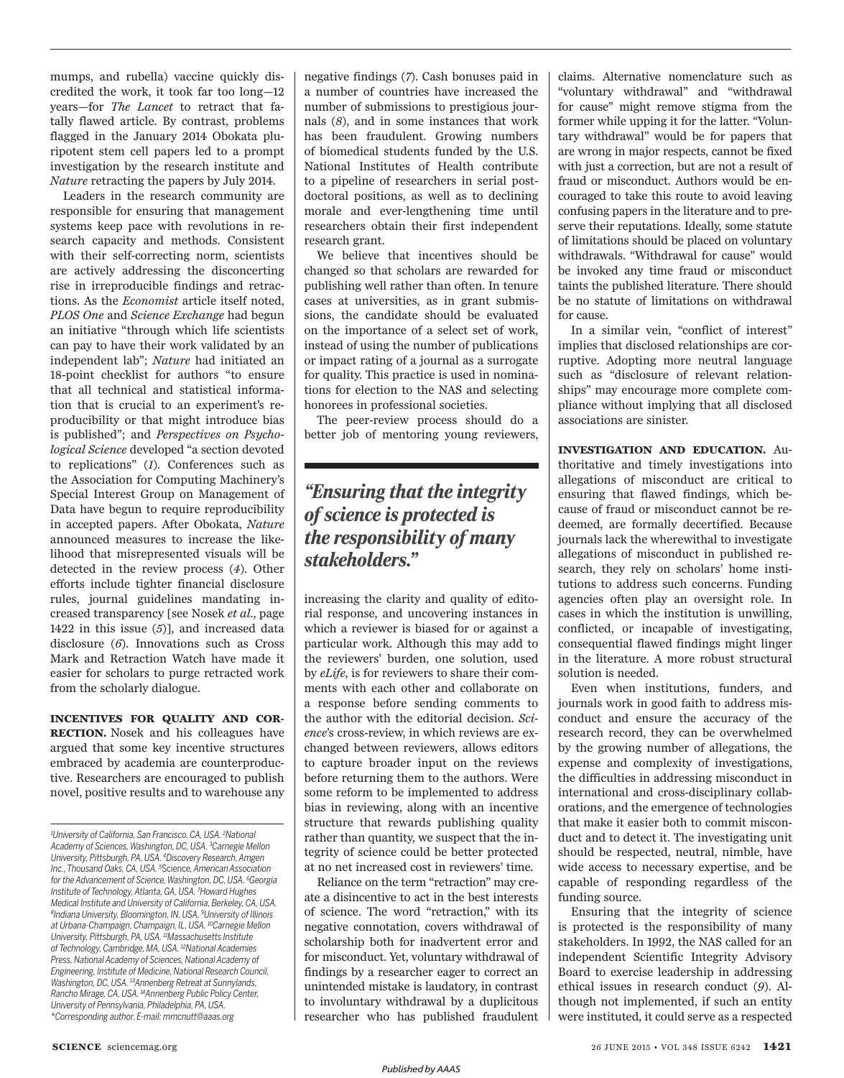mumps, and rubella) vaccine quickly discredited the work, it took far too long—12 years—for *The Lancet* to retract that fatally flawed article. By contrast, problems flagged in the January 2014 Obokata pluripotent stem cell papers led to a prompt investigation by the research institute and *Nature* retracting the papers by July 2014.

Leaders in the research community are responsible for ensuring that management systems keep pace with revolutions in research capacity and methods. Consistent with their self-correcting norm, scientists are actively addressing the disconcerting rise in irreproducible findings and retractions. As the *Economist* article itself noted, *PLOS One* and *Science Exchange* had begun an initiative "through which life scientists can pay to have their work validated by an independent lab"; *Nature* had initiated an 18-point checklist for authors "to ensure that all technical and statistical information that is crucial to an experiment's reproducibility or that might introduce bias is published"; and *Perspectives on Psychological Science* developed "a section devoted to replications" (1). Conferences such as the Association for Computing Machinery's Special Interest Group on Management of Data have begun to require reproducibility in accepted papers. After Obokata, *Nature* announced measures to increase the likelihood that misrepresented visuals will be detected in the review process (4). Other efforts include tighter financial disclosure rules, journal guidelines mandating increased transparency [see Nosek *et al*., page 1422 in this issue  $(5)$ ], and increased data disclosure (6). Innovations such as Cross Mark and Retraction Watch have made it easier for scholars to purge retracted work from the scholarly dialogue.

**INCENTIVES FOR QUALITY AND COR-RECTION.** Nosek and his colleagues have argued that some key incentive structures embraced by academia are counterproductive. Researchers are encouraged to publish novel, positive results and to warehouse any negative findings ( *7*). Cash bonuses paid in a number of countries have increased the number of submissions to prestigious journals  $(8)$ , and in some instances that work has been fraudulent. Growing numbers of biomedical students funded by the U.S. National Institutes of Health contribute to a pipeline of researchers in serial postdoctoral positions, as well as to declining morale and ever-lengthening time until researchers obtain their first independent research grant.

We believe that incentives should be changed so that scholars are rewarded for publishing well rather than often. In tenure cases at universities, as in grant submissions, the candidate should be evaluated on the importance of a select set of work, instead of using the number of publications or impact rating of a journal as a surrogate for quality. This practice is used in nominations for election to the NAS and selecting honorees in professional societies.

The peer-review process should do a better job of mentoring young reviewers,

## *"Ensuring that the integrity of science is protected is the responsibility of many stakeholders."*

increasing the clarity and quality of editorial response, and uncovering instances in which a reviewer is biased for or against a particular work. Although this may add to the reviewers' burden, one solution, used by *eLife*, is for reviewers to share their comments with each other and collaborate on a response before sending comments to the author with the editorial decision. *Science*'s cross-review, in which reviews are exchanged between reviewers, allows editors to capture broader input on the reviews before returning them to the authors. Were some reform to be implemented to address bias in reviewing, along with an incentive structure that rewards publishing quality rather than quantity, we suspect that the integrity of science could be better protected at no net increased cost in reviewers' time.

Reliance on the term "retraction" may create a disincentive to act in the best interests of science. The word "retraction," with its negative connotation, covers withdrawal of scholarship both for inadvertent error and for misconduct. Yet, voluntary withdrawal of findings by a researcher eager to correct an unintended mistake is laudatory, in contrast to involuntary withdrawal by a duplicitous researcher who has published fraudulent claims. Alternative nomenclature such as "voluntary withdrawal" and "withdrawal for cause" might remove stigma from the former while upping it for the latter. "Voluntary withdrawal" would be for papers that are wrong in major respects, cannot be fixed with just a correction, but are not a result of fraud or misconduct. Authors would be encouraged to take this route to avoid leaving confusing papers in the literature and to preserve their reputations. Ideally, some statute of limitations should be placed on voluntary withdrawals. "Withdrawal for cause" would be invoked any time fraud or misconduct taints the published literature. There should be no statute of limitations on withdrawal for cause.

In a similar vein, "conflict of interest" implies that disclosed relationships are corruptive. Adopting more neutral language such as "disclosure of relevant relationships" may encourage more complete compliance without implying that all disclosed associations are sinister.

**INVESTIGATION AND EDUCATION.** Authoritative and timely investigations into allegations of misconduct are critical to ensuring that flawed findings, which because of fraud or misconduct cannot be redeemed, are formally decertified. Because journals lack the wherewithal to investigate allegations of misconduct in published research, they rely on scholars' home institutions to address such concerns. Funding agencies often play an oversight role. In cases in which the institution is unwilling, conflicted, or incapable of investigating, consequential flawed findings might linger in the literature. A more robust structural solution is needed.

Even when institutions, funders, and journals work in good faith to address misconduct and ensure the accuracy of the research record, they can be overwhelmed by the growing number of allegations, the expense and complexity of investigations, the difficulties in addressing misconduct in international and cross-disciplinary collaborations, and the emergence of technologies that make it easier both to commit misconduct and to detect it. The investigating unit should be respected, neutral, nimble, have wide access to necessary expertise, and be capable of responding regardless of the funding source.

Ensuring that the integrity of science is protected is the responsibility of many stakeholders. In 1992, the NAS called for an independent Scientific Integrity Advisory Board to exercise leadership in addressing ethical issues in research conduct (9). Although not implemented, if such an entity were instituted, it could serve as a respected

*<sup>1</sup>University of California, San Francisco, CA, USA. <sup>2</sup>National Academy of Sciences, Washington, DC, USA. <sup>3</sup>Carnegie Mellon University, Pittsburgh, PA, USA. <sup>4</sup>Discovery Research, Amgen Inc., Thousand Oaks, CA, USA. <sup>5</sup>*Science*, American Association for the Advancement of Science, Washington, DC, USA. <sup>6</sup>Georgia Institute of Technology, Atlanta, GA, USA. <sup>7</sup>Howard Hughes Medical Institute and University of California, Berkeley, CA, USA. 8 Indiana University, Bloomington, IN, USA. <sup>9</sup>University of Illinois at Urbana-Champaign, Champaign, IL, USA. <sup>10</sup>Carnegie Mellon University, Pittsburgh, PA, USA. <sup>11</sup>Massachusetts Institute of Technology, Cambridge, MA, USA. <sup>12</sup>National Academies Press, National Academy of Sciences, National Academy of Engineering, Institute of Medicine, National Research Council, Washington, DC, USA. <sup>13</sup>Annenberg Retreat at Sunnylands, Rancho Mirage, CA, USA. <sup>14</sup>Annenberg Public Policy Center, University of Pennsylvania, Philadelphia, PA, USA. \*Corresponding author. E-mail: mmcnutt@aaas.org*